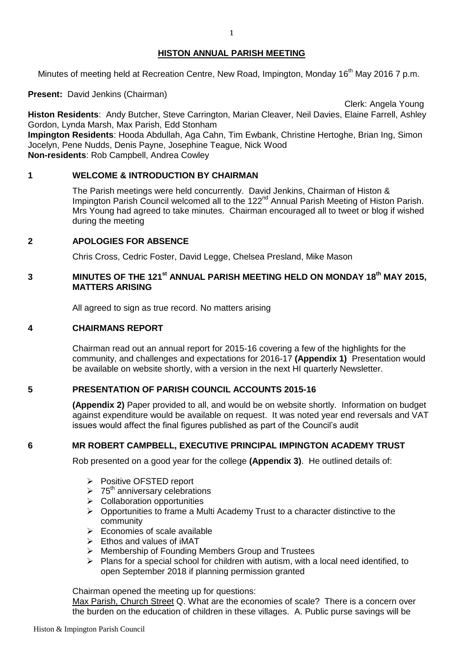## **HISTON ANNUAL PARISH MEETING**

Minutes of meeting held at Recreation Centre, New Road, Impington, Monday 16<sup>th</sup> May 2016 7 p.m.

**Present:** David Jenkins (Chairman)

**Histon Residents**: Andy Butcher, Steve Carrington, Marian Cleaver, Neil Davies, Elaine Farrell, Ashley Gordon, Lynda Marsh, Max Parish, Edd Stonham **Impington Residents**: Hooda Abdullah, Aga Cahn, Tim Ewbank, Christine Hertoghe, Brian Ing, Simon Jocelyn, Pene Nudds, Denis Payne, Josephine Teague, Nick Wood **Non-residents**: Rob Campbell, Andrea Cowley

# **1 WELCOME & INTRODUCTION BY CHAIRMAN**

The Parish meetings were held concurrently. David Jenkins, Chairman of Histon & Impington Parish Council welcomed all to the 122<sup>nd</sup> Annual Parish Meeting of Histon Parish. Mrs Young had agreed to take minutes. Chairman encouraged all to tweet or blog if wished during the meeting

Clerk: Angela Young

## **2 APOLOGIES FOR ABSENCE**

Chris Cross, Cedric Foster, David Legge, Chelsea Presland, Mike Mason

# **3** MINUTES OF THE 121<sup>st</sup> ANNUAL PARISH MEETING HELD ON MONDAY 18<sup>th</sup> MAY 2015, **MATTERS ARISING**

All agreed to sign as true record. No matters arising

## **4 CHAIRMANS REPORT**

Chairman read out an annual report for 2015-16 covering a few of the highlights for the community, and challenges and expectations for 2016-17 **(Appendix 1)** Presentation would be available on website shortly, with a version in the next HI quarterly Newsletter.

### **5 PRESENTATION OF PARISH COUNCIL ACCOUNTS 2015-16**

**(Appendix 2)** Paper provided to all, and would be on website shortly. Information on budget against expenditure would be available on request. It was noted year end reversals and VAT issues would affect the final figures published as part of the Council's audit

### **6 MR ROBERT CAMPBELL, EXECUTIVE PRINCIPAL IMPINGTON ACADEMY TRUST**

Rob presented on a good year for the college **(Appendix 3)**.He outlined details of:

- Positive OFSTED report
- $\geq 75^{\text{th}}$  anniversary celebrations
- $\triangleright$  Collaboration opportunities
- $\triangleright$  Opportunities to frame a Multi Academy Trust to a character distinctive to the community
- $\triangleright$  Economies of scale available
- $\triangleright$  Ethos and values of iMAT
- $\triangleright$  Membership of Founding Members Group and Trustees
- $\triangleright$  Plans for a special school for children with autism, with a local need identified, to open September 2018 if planning permission granted

Chairman opened the meeting up for questions:

Max Parish, Church Street Q. What are the economies of scale? There is a concern over the burden on the education of children in these villages. A. Public purse savings will be